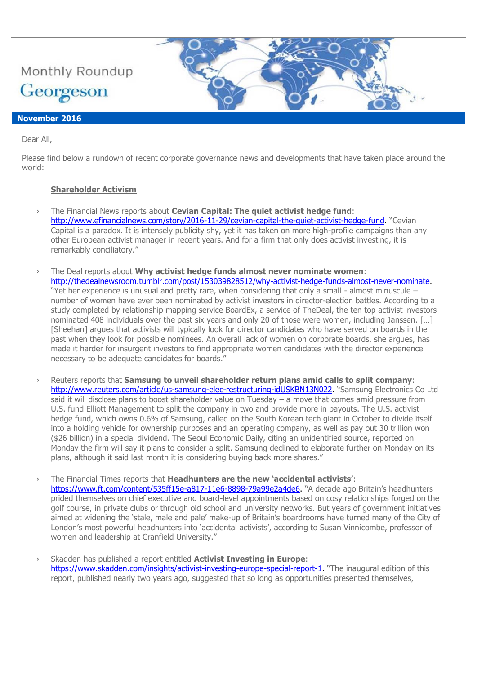

Dear All,

Please find below a rundown of recent corporate governance news and developments that have taken place around the world:

# **Shareholder Activism**

- › The Financial News reports about **Cevian Capital: The quiet activist hedge fund**: [http://www.efinancialnews.com/story/2016-11-29/cevian-capital-the-quiet-activist-hedge-fund.](http://www.efinancialnews.com/story/2016-11-29/cevian-capital-the-quiet-activist-hedge-fund) "Cevian Capital is a paradox. It is intensely publicity shy, yet it has taken on more high-profile campaigns than any other European activist manager in recent years. And for a firm that only does activist investing, it is remarkably conciliatory."
- › The Deal reports about **Why activist hedge funds almost never nominate women**: [http://thedealnewsroom.tumblr.com/post/153039828512/why-activist-hedge-funds-almost-never-nominate.](http://thedealnewsroom.tumblr.com/post/153039828512/why-activist-hedge-funds-almost-never-nominate) "Yet her experience is unusual and pretty rare, when considering that only a small - almost minuscule – number of women have ever been nominated by activist investors in director-election battles. According to a study completed by relationship mapping service BoardEx, a service of TheDeal, the ten top activist investors nominated 408 individuals over the past six years and only 20 of those were women, including Janssen. […] [Sheehan] argues that activists will typically look for director candidates who have served on boards in the past when they look for possible nominees. An overall lack of women on corporate boards, she argues, has made it harder for insurgent investors to find appropriate women candidates with the director experience necessary to be adequate candidates for boards."
- › Reuters reports that **Samsung to unveil shareholder return plans amid calls to split company**: [http://www.reuters.com/article/us-samsung-elec-restructuring-idUSKBN13N022.](http://www.reuters.com/article/us-samsung-elec-restructuring-idUSKBN13N022) "Samsung Electronics Co Ltd said it will disclose plans to boost shareholder value on Tuesday – a move that comes amid pressure from U.S. fund Elliott Management to split the company in two and provide more in payouts. The U.S. activist hedge fund, which owns 0.6% of Samsung, called on the South Korean tech giant in October to divide itself into a holding vehicle for ownership purposes and an operating company, as well as pay out 30 trillion won (\$26 billion) in a special dividend. The Seoul Economic Daily, citing an unidentified source, reported on Monday the firm will say it plans to consider a split. Samsung declined to elaborate further on Monday on its plans, although it said last month it is considering buying back more shares."

› The Financial Times reports that **Headhunters are the new 'accidental activists'**: [https://www.ft.com/content/535ff15e-a817-11e6-8898-79a99e2a4de6.](https://www.ft.com/content/535ff15e-a817-11e6-8898-79a99e2a4de6) "A decade ago Britain's headhunters prided themselves on chief executive and board-level appointments based on cosy relationships forged on the golf course, in private clubs or through old school and university networks. But years of government initiatives aimed at widening the 'stale, male and pale' make-up of Britain's boardrooms have turned many of the City of London's most powerful headhunters into 'accidental activists', according to Susan Vinnicombe, professor of women and leadership at Cranfield University."

› Skadden has published a report entitled **Activist Investing in Europe**: [https://www.skadden.com/insights/activist-investing-europe-special-report-1.](https://www.skadden.com/insights/activist-investing-europe-special-report-1) "The inaugural edition of this report, published nearly two years ago, suggested that so long as opportunities presented themselves,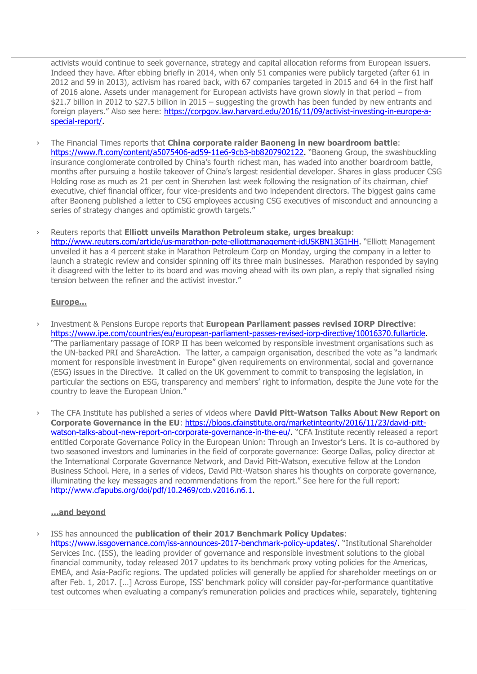activists would continue to seek governance, strategy and capital allocation reforms from European issuers. Indeed they have. After ebbing briefly in 2014, when only 51 companies were publicly targeted (after 61 in 2012 and 59 in 2013), activism has roared back, with 67 companies targeted in 2015 and 64 in the first half of 2016 alone. Assets under management for European activists have grown slowly in that period – from \$21.7 billion in 2012 to \$27.5 billion in 2015 – suggesting the growth has been funded by new entrants and foreign players." Also see here: [https://corpgov.law.harvard.edu/2016/11/09/activist-investing-in-europe-a](https://corpgov.law.harvard.edu/2016/11/09/activist-investing-in-europe-a-special-report/)[special-report/.](https://corpgov.law.harvard.edu/2016/11/09/activist-investing-in-europe-a-special-report/)

- › The Financial Times reports that **China corporate raider Baoneng in new boardroom battle**: [https://www.ft.com/content/a5075406-ad59-11e6-9cb3-bb8207902122.](https://www.ft.com/content/a5075406-ad59-11e6-9cb3-bb8207902122) "Baoneng Group, the swashbuckling insurance conglomerate controlled by China's fourth richest man, has waded into another boardroom battle, months after pursuing a hostile takeover of China's largest residential developer. Shares in glass producer CSG Holding rose as much as 21 per cent in Shenzhen last week following the resignation of its chairman, chief executive, chief financial officer, four vice-presidents and two independent directors. The biggest gains came after Baoneng published a letter to CSG employees accusing CSG executives of misconduct and announcing a series of strategy changes and optimistic growth targets."
- › Reuters reports that **Elliott unveils Marathon Petroleum stake, urges breakup**: [http://www.reuters.com/article/us-marathon-pete-elliottmanagement-idUSKBN13G1HH.](http://www.reuters.com/article/us-marathon-pete-elliottmanagement-idUSKBN13G1HH) "Elliott Management unveiled it has a 4 percent stake in Marathon Petroleum Corp on Monday, urging the company in a letter to launch a strategic review and consider spinning off its three main businesses. Marathon responded by saying it disagreed with the letter to its board and was moving ahead with its own plan, a reply that signalled rising tension between the refiner and the activist investor."

### **Europe…**

- › Investment & Pensions Europe reports that **European Parliament passes revised IORP Directive**: [https://www.ipe.com/countries/eu/european-parliament-passes-revised-iorp-directive/10016370.fullarticle.](https://www.ipe.com/countries/eu/european-parliament-passes-revised-iorp-directive/10016370.fullarticle) "The parliamentary passage of IORP II has been welcomed by responsible investment organisations such as the UN-backed PRI and ShareAction. The latter, a campaign organisation, described the vote as "a landmark moment for responsible investment in Europe" given requirements on environmental, social and governance (ESG) issues in the Directive. It called on the UK government to commit to transposing the legislation, in particular the sections on ESG, transparency and members' right to information, despite the June vote for the country to leave the European Union."
- › The CFA Institute has published a series of videos where **David Pitt-Watson Talks About New Report on Corporate Governance in the EU**: [https://blogs.cfainstitute.org/marketintegrity/2016/11/23/david-pitt](https://blogs.cfainstitute.org/marketintegrity/2016/11/23/david-pitt-watson-talks-about-new-report-on-corporate-governance-in-the-eu/)[watson-talks-about-new-report-on-corporate-governance-in-the-eu/.](https://blogs.cfainstitute.org/marketintegrity/2016/11/23/david-pitt-watson-talks-about-new-report-on-corporate-governance-in-the-eu/) "CFA Institute recently released a report entitled Corporate Governance Policy in the European Union: Through an Investor's Lens. It is co-authored by two seasoned investors and luminaries in the field of corporate governance: George Dallas, policy director at the International Corporate Governance Network, and David Pitt-Watson, executive fellow at the London Business School. Here, in a series of videos, David Pitt-Watson shares his thoughts on corporate governance, illuminating the key messages and recommendations from the report." See here for the full report: [http://www.cfapubs.org/doi/pdf/10.2469/ccb.v2016.n6.1.](http://www.cfapubs.org/doi/pdf/10.2469/ccb.v2016.n6.1)

# **…and beyond**

› ISS has announced the **publication of their 2017 Benchmark Policy Updates**: [https://www.issgovernance.com/iss-announces-2017-benchmark-policy-updates/.](https://www.issgovernance.com/iss-announces-2017-benchmark-policy-updates/) "Institutional Shareholder Services Inc. (ISS), the leading provider of governance and responsible investment solutions to the global financial community, today released 2017 updates to its benchmark proxy voting policies for the Americas, EMEA, and Asia-Pacific regions. The updated policies will generally be applied for shareholder meetings on or after Feb. 1, 2017. […] Across Europe, ISS' benchmark policy will consider pay-for-performance quantitative test outcomes when evaluating a company's remuneration policies and practices while, separately, tightening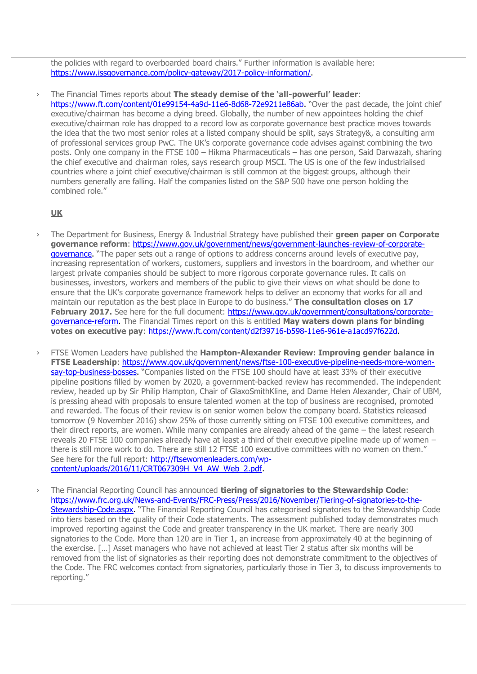the policies with regard to overboarded board chairs." Further information is available here: [https://www.issgovernance.com/policy-gateway/2017-policy-information/.](https://www.issgovernance.com/policy-gateway/2017-policy-information/)

### › The Financial Times reports about **The steady demise of the 'all-powerful' leader**:

[https://www.ft.com/content/01e99154-4a9d-11e6-8d68-72e9211e86ab.](https://www.ft.com/content/01e99154-4a9d-11e6-8d68-72e9211e86ab) "Over the past decade, the joint chief executive/chairman has become a dying breed. Globally, the number of new appointees holding the chief executive/chairman role has dropped to a record low as corporate governance best practice moves towards the idea that the two most senior roles at a listed company should be split, says Strategy&, a consulting arm of professional services group PwC. The UK's corporate governance code advises against combining the two posts. Only one company in the FTSE 100 – Hikma Pharmaceuticals – has one person, Said Darwazah, sharing the chief executive and chairman roles, says research group MSCI. The US is one of the few industrialised countries where a joint chief executive/chairman is still common at the biggest groups, although their numbers generally are falling. Half the companies listed on the S&P 500 have one person holding the combined role."

### **UK**

- › The Department for Business, Energy & Industrial Strategy have published their **green paper on Corporate governance reform**: [https://www.gov.uk/government/news/government-launches-review-of-corporate](https://www.gov.uk/government/news/government-launches-review-of-corporate-governance)[governance.](https://www.gov.uk/government/news/government-launches-review-of-corporate-governance) "The paper sets out a range of options to address concerns around levels of executive pay, increasing representation of workers, customers, suppliers and investors in the boardroom, and whether our largest private companies should be subject to more rigorous corporate governance rules. It calls on businesses, investors, workers and members of the public to give their views on what should be done to ensure that the UK's corporate governance framework helps to deliver an economy that works for all and maintain our reputation as the best place in Europe to do business." **The consultation closes on 17 February 2017.** See here for the full document: [https://www.gov.uk/government/consultations/corporate](https://www.gov.uk/government/consultations/corporate-governance-reform)[governance-reform.](https://www.gov.uk/government/consultations/corporate-governance-reform) The Financial Times report on this is entitled **May waters down plans for binding votes on executive pay**: [https://www.ft.com/content/d2f39716-b598-11e6-961e-a1acd97f622d.](https://www.ft.com/content/d2f39716-b598-11e6-961e-a1acd97f622d)
- › FTSE Women Leaders have published the **Hampton-Alexander Review: Improving gender balance in FTSE Leadership**: [https://www.gov.uk/government/news/ftse-100-executive-pipeline-needs-more-women](https://www.gov.uk/government/news/ftse-100-executive-pipeline-needs-more-women-say-top-business-bosses)[say-top-business-bosses.](https://www.gov.uk/government/news/ftse-100-executive-pipeline-needs-more-women-say-top-business-bosses) "Companies listed on the FTSE 100 should have at least 33% of their executive pipeline positions filled by women by 2020, a government-backed review has recommended. The independent review, headed up by Sir Philip Hampton, Chair of GlaxoSmithKline, and Dame Helen Alexander, Chair of UBM, is pressing ahead with proposals to ensure talented women at the top of business are recognised, promoted and rewarded. The focus of their review is on senior women below the company board. Statistics released tomorrow (9 November 2016) show 25% of those currently sitting on FTSE 100 executive committees, and their direct reports, are women. While many companies are already ahead of the game – the latest research reveals 20 FTSE 100 companies already have at least a third of their executive pipeline made up of women – there is still more work to do. There are still 12 FTSE 100 executive committees with no women on them." See here for the full report: [http://ftsewomenleaders.com/wp](http://ftsewomenleaders.com/wp-content/uploads/2016/11/CRT067309H_V4_AW_Web_2.pdf)[content/uploads/2016/11/CRT067309H\\_V4\\_AW\\_Web\\_2.pdf.](http://ftsewomenleaders.com/wp-content/uploads/2016/11/CRT067309H_V4_AW_Web_2.pdf)
- › The Financial Reporting Council has announced **tiering of signatories to the Stewardship Code**: [https://www.frc.org.uk/News-and-Events/FRC-Press/Press/2016/November/Tiering-of-signatories-to-the-](https://www.frc.org.uk/News-and-Events/FRC-Press/Press/2016/November/Tiering-of-signatories-to-the-Stewardship-Code.aspx)[Stewardship-Code.aspx.](https://www.frc.org.uk/News-and-Events/FRC-Press/Press/2016/November/Tiering-of-signatories-to-the-Stewardship-Code.aspx) "The Financial Reporting Council has categorised signatories to the Stewardship Code into tiers based on the quality of their Code statements. The assessment published today demonstrates much improved reporting against the Code and greater transparency in the UK market. There are nearly 300 signatories to the Code. More than 120 are in Tier 1, an increase from approximately 40 at the beginning of the exercise. […] Asset managers who have not achieved at least Tier 2 status after six months will be removed from the list of signatories as their reporting does not demonstrate commitment to the objectives of the Code. The FRC welcomes contact from signatories, particularly those in Tier 3, to discuss improvements to reporting."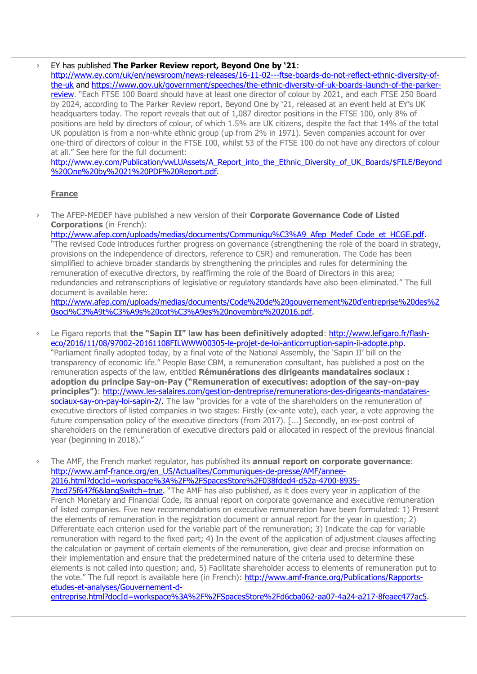#### › EY has published **The Parker Review report, Beyond One by '21**:

[http://www.ey.com/uk/en/newsroom/news-releases/16-11-02---ftse-boards-do-not-reflect-ethnic-diversity-of](http://www.ey.com/uk/en/newsroom/news-releases/16-11-02---ftse-boards-do-not-reflect-ethnic-diversity-of-the-uk)[the-uk](http://www.ey.com/uk/en/newsroom/news-releases/16-11-02---ftse-boards-do-not-reflect-ethnic-diversity-of-the-uk) and [https://www.gov.uk/government/speeches/the-ethnic-diversity-of-uk-boards-launch-of-the-parker](https://www.gov.uk/government/speeches/the-ethnic-diversity-of-uk-boards-launch-of-the-parker-review)[review](https://www.gov.uk/government/speeches/the-ethnic-diversity-of-uk-boards-launch-of-the-parker-review). "Each FTSE 100 Board should have at least one director of colour by 2021, and each FTSE 250 Board by 2024, according to The Parker Review report, Beyond One by '21, released at an event held at EY's UK headquarters today. The report reveals that out of 1,087 director positions in the FTSE 100, only 8% of positions are held by directors of colour, of which 1.5% are UK citizens, despite the fact that 14% of the total UK population is from a non-white ethnic group (up from 2% in 1971). Seven companies account for over one-third of directors of colour in the FTSE 100, whilst 53 of the FTSE 100 do not have any directors of colour at all." See here for the full document:

[http://www.ey.com/Publication/vwLUAssets/A\\_Report\\_into\\_the\\_Ethnic\\_Diversity\\_of\\_UK\\_Boards/\\$FILE/Beyond](http://www.ey.com/Publication/vwLUAssets/A_Report_into_the_Ethnic_Diversity_of_UK_Boards/$FILE/Beyond%20One%20by%2021%20PDF%20Report.pdf) [%20One%20by%2021%20PDF%20Report.pdf.](http://www.ey.com/Publication/vwLUAssets/A_Report_into_the_Ethnic_Diversity_of_UK_Boards/$FILE/Beyond%20One%20by%2021%20PDF%20Report.pdf)

## **France**

› The AFEP-MEDEF have published a new version of their **Corporate Governance Code of Listed Corporations** (in French):

[http://www.afep.com/uploads/medias/documents/Communiqu%C3%A9\\_Afep\\_Medef\\_Code\\_et\\_HCGE.pdf.](http://www.afep.com/uploads/medias/documents/Communiqu%C3%A9_Afep_Medef_Code_et_HCGE.pdf) "The revised Code introduces further progress on governance (strengthening the role of the board in strategy, provisions on the independence of directors, reference to CSR) and remuneration. The Code has been simplified to achieve broader standards by strengthening the principles and rules for determining the remuneration of executive directors, by reaffirming the role of the Board of Directors in this area; redundancies and retranscriptions of legislative or regulatory standards have also been eliminated." The full document is available here:

[http://www.afep.com/uploads/medias/documents/Code%20de%20gouvernement%20d'entreprise%20des%2](http://www.afep.com/uploads/medias/documents/Code%20de%20gouvernement%20d) [0soci%C3%A9t%C3%A9s%20cot%C3%A9es%20novembre%202016.pdf.](http://www.afep.com/uploads/medias/documents/Code%20de%20gouvernement%20d)

› Le Figaro reports that **the "Sapin II" law has been definitively adopted**: [http://www.lefigaro.fr/flash](http://www.lefigaro.fr/flash-eco/2016/11/08/97002-20161108FILWWW00305-le-projet-de-loi-anticorruption-sapin-ii-adopte.php)[eco/2016/11/08/97002-20161108FILWWW00305-le-projet-de-loi-anticorruption-sapin-ii-adopte.php.](http://www.lefigaro.fr/flash-eco/2016/11/08/97002-20161108FILWWW00305-le-projet-de-loi-anticorruption-sapin-ii-adopte.php) "Parliament finally adopted today, by a final vote of the National Assembly, the 'Sapin II' bill on the transparency of economic life." People Base CBM, a remuneration consultant, has published a post on the remuneration aspects of the law, entitled **Rémunérations des dirigeants mandataires sociaux : adoption du principe Say-on-Pay ("Remuneration of executives: adoption of the say-on-pay principles")**: [http://www.les-salaires.com/gestion-dentreprise/remunerations-des-dirigeants-mandataires](http://www.les-salaires.com/gestion-dentreprise/remunerations-des-dirigeants-mandataires-sociaux-say-on-pay-loi-sapin-2/)[sociaux-say-on-pay-loi-sapin-2/.](http://www.les-salaires.com/gestion-dentreprise/remunerations-des-dirigeants-mandataires-sociaux-say-on-pay-loi-sapin-2/) The law "provides for a vote of the shareholders on the remuneration of executive directors of listed companies in two stages: Firstly (ex-ante vote), each year, a vote approving the future compensation policy of the executive directors (from 2017). [...] Secondly, an ex-post control of shareholders on the remuneration of executive directors paid or allocated in respect of the previous financial year (beginning in 2018)."

› The AMF, the French market regulator, has published its **annual report on corporate governance**: [http://www.amf-france.org/en\\_US/Actualites/Communiques-de-presse/AMF/annee-](http://www.amf-france.org/en_US/Actualites/Communiques-de-presse/AMF/annee-2016.html?docId=workspace%3A%2F%2FSpacesStore%2F038fded4-d52a-4700-8935-7bcd75f647f6&langSwitch=true)[2016.html?docId=workspace%3A%2F%2FSpacesStore%2F038fded4-d52a-4700-8935-](http://www.amf-france.org/en_US/Actualites/Communiques-de-presse/AMF/annee-2016.html?docId=workspace%3A%2F%2FSpacesStore%2F038fded4-d52a-4700-8935-7bcd75f647f6&langSwitch=true) [7bcd75f647f6&langSwitch=true.](http://www.amf-france.org/en_US/Actualites/Communiques-de-presse/AMF/annee-2016.html?docId=workspace%3A%2F%2FSpacesStore%2F038fded4-d52a-4700-8935-7bcd75f647f6&langSwitch=true) "The AMF has also published, as it does every year in application of the French Monetary and Financial Code, its annual report on corporate governance and executive remuneration of listed companies. Five new recommendations on executive remuneration have been formulated: 1) Present the elements of remuneration in the registration document or annual report for the year in question; 2) Differentiate each criterion used for the variable part of the remuneration; 3) Indicate the cap for variable remuneration with regard to the fixed part; 4) In the event of the application of adjustment clauses affecting the calculation or payment of certain elements of the remuneration, give clear and precise information on their implementation and ensure that the predetermined nature of the criteria used to determine these elements is not called into question; and, 5) Facilitate shareholder access to elements of remuneration put to the vote." The full report is available here (in French): [http://www.amf-france.org/Publications/Rapports](http://www.amf-france.org/Publications/Rapports-etudes-et-analyses/Gouvernement-d-entreprise.html?docId=workspace%3A%2F%2FSpacesStore%2Fd6cba062-aa07-4a24-a217-8feaec477ac5)[etudes-et-analyses/Gouvernement-d-](http://www.amf-france.org/Publications/Rapports-etudes-et-analyses/Gouvernement-d-entreprise.html?docId=workspace%3A%2F%2FSpacesStore%2Fd6cba062-aa07-4a24-a217-8feaec477ac5)

[entreprise.html?docId=workspace%3A%2F%2FSpacesStore%2Fd6cba062-aa07-4a24-a217-8feaec477ac5.](http://www.amf-france.org/Publications/Rapports-etudes-et-analyses/Gouvernement-d-entreprise.html?docId=workspace%3A%2F%2FSpacesStore%2Fd6cba062-aa07-4a24-a217-8feaec477ac5)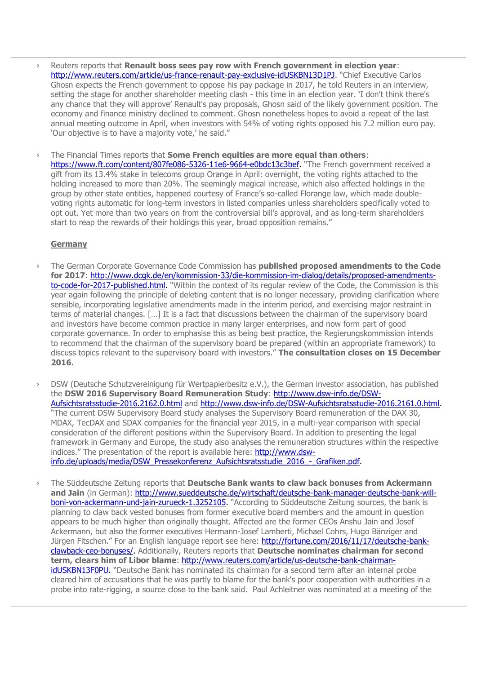- › Reuters reports that **Renault boss sees pay row with French government in election year**: <http://www.reuters.com/article/us-france-renault-pay-exclusive-idUSKBN13D1PJ>. "Chief Executive Carlos Ghosn expects the French government to oppose his pay package in 2017, he told Reuters in an interview, setting the stage for another shareholder meeting clash - this time in an election year. 'I don't think there's any chance that they will approve' Renault's pay proposals, Ghosn said of the likely government position. The economy and finance ministry declined to comment. Ghosn nonetheless hopes to avoid a repeat of the last annual meeting outcome in April, when investors with 54% of voting rights opposed his 7.2 million euro pay. 'Our objective is to have a majority vote,' he said."
- › The Financial Times reports that **Some French equities are more equal than others**: [https://www.ft.com/content/807fe086-5326-11e6-9664-e0bdc13c3bef.](https://www.ft.com/content/807fe086-5326-11e6-9664-e0bdc13c3bef) "The French government received a gift from its 13.4% stake in telecoms group Orange in April: overnight, the voting rights attached to the holding increased to more than 20%. The seemingly magical increase, which also affected holdings in the group by other state entities, happened courtesy of France's so-called Florange law, which made doublevoting rights automatic for long-term investors in listed companies unless shareholders specifically voted to opt out. Yet more than two years on from the controversial bill's approval, and as long-term shareholders start to reap the rewards of their holdings this year, broad opposition remains."

## **Germany**

- › The German Corporate Governance Code Commission has **published proposed amendments to the Code for 2017**: [http://www.dcgk.de/en/kommission-33/die-kommission-im-dialog/details/proposed-amendments](http://www.dcgk.de/en/kommission-33/die-kommission-im-dialog/details/proposed-amendments-to-code-for-2017-published.html)[to-code-for-2017-published.html.](http://www.dcgk.de/en/kommission-33/die-kommission-im-dialog/details/proposed-amendments-to-code-for-2017-published.html) "Within the context of its regular review of the Code, the Commission is this year again following the principle of deleting content that is no longer necessary, providing clarification where sensible, incorporating legislative amendments made in the interim period, and exercising major restraint in terms of material changes. […] It is a fact that discussions between the chairman of the supervisory board and investors have become common practice in many larger enterprises, and now form part of good corporate governance. In order to emphasise this as being best practice, the Regierungskommission intends to recommend that the chairman of the supervisory board be prepared (within an appropriate framework) to discuss topics relevant to the supervisory board with investors." **The consultation closes on 15 December 2016.**
- DSW (Deutsche Schutzvereinigung für Wertpapierbesitz e.V.), the German investor association, has published the **DSW 2016 Supervisory Board Remuneration Study**: [http://www.dsw-info.de/DSW-](http://www.dsw-info.de/DSW-Aufsichtsratsstudie-2016.2162.0.html)[Aufsichtsratsstudie-2016.2162.0.html](http://www.dsw-info.de/DSW-Aufsichtsratsstudie-2016.2162.0.html) and [http://www.dsw-info.de/DSW-Aufsichtsratsstudie-2016.2161.0.html.](http://www.dsw-info.de/DSW-Aufsichtsratsstudie-2016.2161.0.html) "The current DSW Supervisory Board study analyses the Supervisory Board remuneration of the DAX 30, MDAX, TecDAX and SDAX companies for the financial year 2015, in a multi-year comparison with special consideration of the different positions within the Supervisory Board. In addition to presenting the legal framework in Germany and Europe, the study also analyses the remuneration structures within the respective indices." The presentation of the report is available here: [http://www.dsw](http://www.dsw-info.de/uploads/media/DSW_Pressekonferenz_Aufsichtsratsstudie_2016_-_Grafiken.pdf)[info.de/uploads/media/DSW\\_Pressekonferenz\\_Aufsichtsratsstudie\\_2016\\_-\\_Grafiken.pdf.](http://www.dsw-info.de/uploads/media/DSW_Pressekonferenz_Aufsichtsratsstudie_2016_-_Grafiken.pdf)
- › The Süddeutsche Zeitung reports that **Deutsche Bank wants to claw back bonuses from Ackermann**  and Jain (in German): [http://www.sueddeutsche.de/wirtschaft/deutsche-bank-manager-deutsche-bank-will](http://www.sueddeutsche.de/wirtschaft/deutsche-bank-manager-deutsche-bank-will-boni-von-ackermann-und-jain-zurueck-1.3252105)[boni-von-ackermann-und-jain-zurueck-1.3252105.](http://www.sueddeutsche.de/wirtschaft/deutsche-bank-manager-deutsche-bank-will-boni-von-ackermann-und-jain-zurueck-1.3252105) "According to Süddeutsche Zeitung sources, the bank is planning to claw back vested bonuses from former executive board members and the amount in question appears to be much higher than originally thought. Affected are the former CEOs Anshu Jain and Josef Ackermann, but also the former executives Hermann-Josef Lamberti, Michael Cohrs, Hugo Bänziger and Jürgen Fitschen." For an English language report see here: [http://fortune.com/2016/11/17/deutsche-bank](http://fortune.com/2016/11/17/deutsche-bank-clawback-ceo-bonuses/)[clawback-ceo-bonuses/.](http://fortune.com/2016/11/17/deutsche-bank-clawback-ceo-bonuses/) Additionally, Reuters reports that **Deutsche nominates chairman for second term, clears him of Libor blame**: [http://www.reuters.com/article/us-deutsche-bank-chairman](http://www.reuters.com/article/us-deutsche-bank-chairman-idUSKBN13F0PU)[idUSKBN13F0PU.](http://www.reuters.com/article/us-deutsche-bank-chairman-idUSKBN13F0PU) "Deutsche Bank has nominated its chairman for a second term after an internal probe cleared him of accusations that he was partly to blame for the bank's poor cooperation with authorities in a probe into rate-rigging, a source close to the bank said. Paul Achleitner was nominated at a meeting of the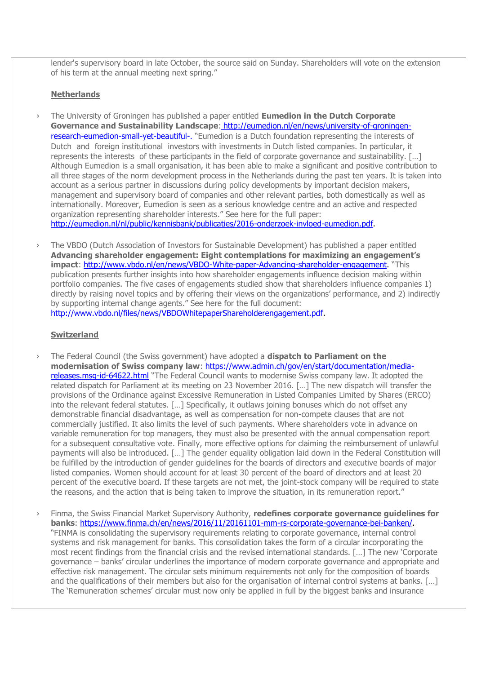lender's supervisory board in late October, the source said on Sunday. Shareholders will vote on the extension of his term at the annual meeting next spring."

# **Netherlands**

- › The University of Groningen has published a paper entitled **Eumedion in the Dutch Corporate Governance and Sustainability Landscape**: [http://eumedion.nl/en/news/university-of-groningen](http://eumedion.nl/en/news/university-of-groningen-research-eumedion-small-yet-beautiful-)[research-eumedion-small-yet-beautiful-](http://eumedion.nl/en/news/university-of-groningen-research-eumedion-small-yet-beautiful-). "Eumedion is a Dutch foundation representing the interests of Dutch and foreign institutional investors with investments in Dutch listed companies. In particular, it represents the interests of these participants in the field of corporate governance and sustainability. […] Although Eumedion is a small organisation, it has been able to make a significant and positive contribution to all three stages of the norm development process in the Netherlands during the past ten years. It is taken into account as a serious partner in discussions during policy developments by important decision makers, management and supervisory board of companies and other relevant parties, both domestically as well as internationally. Moreover, Eumedion is seen as a serious knowledge centre and an active and respected organization representing shareholder interests." See here for the full paper: [http://eumedion.nl/nl/public/kennisbank/publicaties/2016-onderzoek-invloed-eumedion.pdf.](http://eumedion.nl/nl/public/kennisbank/publicaties/2016-onderzoek-invloed-eumedion.pdf)
- › The VBDO (Dutch Association of Investors for Sustainable Development) has published a paper entitled **Advancing shareholder engagement: Eight contemplations for maximizing an engagement's impact**: [http://www.vbdo.nl/en/news/VBDO-White-paper-Advancing-shareholder-engagement.](http://www.vbdo.nl/en/news/VBDO-White-paper-Advancing-shareholder-engagement) "This publication presents further insights into how shareholder engagements influence decision making within portfolio companies. The five cases of engagements studied show that shareholders influence companies 1) directly by raising novel topics and by offering their views on the organizations' performance, and 2) indirectly by supporting internal change agents." See here for the full document: [http://www.vbdo.nl/files/news/VBDOWhitepaperShareholderengagement.pdf.](http://www.vbdo.nl/files/news/VBDOWhitepaperShareholderengagement.pdf)

#### **Switzerland**

- › The Federal Council (the Swiss government) have adopted a **dispatch to Parliament on the modernisation of Swiss company law**: [https://www.admin.ch/gov/en/start/documentation/media](https://www.admin.ch/gov/en/start/documentation/media-releases.msg-id-64622.html)[releases.msg-id-64622.html](https://www.admin.ch/gov/en/start/documentation/media-releases.msg-id-64622.html) "The Federal Council wants to modernise Swiss company law. It adopted the related dispatch for Parliament at its meeting on 23 November 2016. […] The new dispatch will transfer the provisions of the Ordinance against Excessive Remuneration in Listed Companies Limited by Shares (ERCO) into the relevant federal statutes. […] Specifically, it outlaws joining bonuses which do not offset any demonstrable financial disadvantage, as well as compensation for non-compete clauses that are not commercially justified. It also limits the level of such payments. Where shareholders vote in advance on variable remuneration for top managers, they must also be presented with the annual compensation report for a subsequent consultative vote. Finally, more effective options for claiming the reimbursement of unlawful payments will also be introduced. […] The gender equality obligation laid down in the Federal Constitution will be fulfilled by the introduction of gender guidelines for the boards of directors and executive boards of major listed companies. Women should account for at least 30 percent of the board of directors and at least 20 percent of the executive board. If these targets are not met, the joint-stock company will be required to state the reasons, and the action that is being taken to improve the situation, in its remuneration report."
- › Finma, the Swiss Financial Market Supervisory Authority, **redefines corporate governance guidelines for banks**: [https://www.finma.ch/en/news/2016/11/20161101-mm-rs-corporate-governance-bei-banken/.](https://www.finma.ch/en/news/2016/11/20161101-mm-rs-corporate-governance-bei-banken/) "FINMA is consolidating the supervisory requirements relating to corporate governance, internal control systems and risk management for banks. This consolidation takes the form of a circular incorporating the most recent findings from the financial crisis and the revised international standards. […] The new 'Corporate governance – banks' circular underlines the importance of modern corporate governance and appropriate and effective risk management. The circular sets minimum requirements not only for the composition of boards and the qualifications of their members but also for the organisation of internal control systems at banks. […] The 'Remuneration schemes' circular must now only be applied in full by the biggest banks and insurance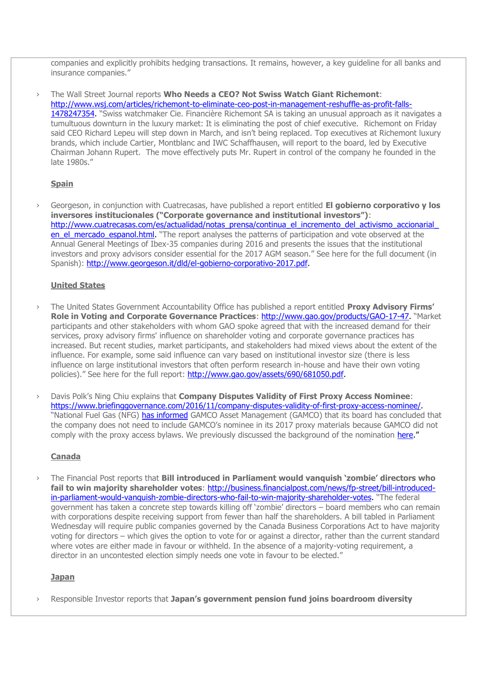companies and explicitly prohibits hedging transactions. It remains, however, a key guideline for all banks and insurance companies."

› The Wall Street Journal reports **Who Needs a CEO? Not Swiss Watch Giant Richemont**: [http://www.wsj.com/articles/richemont-to-eliminate-ceo-post-in-management-reshuffle-as-profit-falls-](http://www.wsj.com/articles/richemont-to-eliminate-ceo-post-in-management-reshuffle-as-profit-falls-1478247354)[1478247354.](http://www.wsj.com/articles/richemont-to-eliminate-ceo-post-in-management-reshuffle-as-profit-falls-1478247354) "Swiss watchmaker Cie. Financière Richemont SA is taking an unusual approach as it navigates a tumultuous downturn in the luxury market: It is eliminating the post of chief executive. Richemont on Friday said CEO Richard Lepeu will step down in March, and isn't being replaced. Top executives at Richemont luxury brands, which include Cartier, Montblanc and IWC Schaffhausen, will report to the board, led by Executive Chairman Johann Rupert. The move effectively puts Mr. Rupert in control of the company he founded in the late 1980s."

## **Spain**

› Georgeson, in conjunction with Cuatrecasas, have published a report entitled **El gobierno corporativo y los inversores institucionales ("Corporate governance and institutional investors")**: http://www.cuatrecasas.com/es/actualidad/notas\_prensa/continua\_el\_incremento\_del\_activismo\_accionarial en el mercado espanol.html. "The report analyses the patterns of participation and vote observed at the Annual General Meetings of Ibex-35 companies during 2016 and presents the issues that the institutional investors and proxy advisors consider essential for the 2017 AGM season." See here for the full document (in Spanish): [http://www.georgeson.it/dld/el-gobierno-corporativo-2017.pdf.](http://www.georgeson.it/dld/el-gobierno-corporativo-2017.pdf)

### **United States**

- › The United States Government Accountability Office has published a report entitled **Proxy Advisory Firms' Role in Voting and Corporate Governance Practices**: [http://www.gao.gov/products/GAO-17-47.](http://www.gao.gov/products/GAO-17-47) "Market participants and other stakeholders with whom GAO spoke agreed that with the increased demand for their services, proxy advisory firms' influence on shareholder voting and corporate governance practices has increased. But recent studies, market participants, and stakeholders had mixed views about the extent of the influence. For example, some said influence can vary based on institutional investor size (there is less influence on large institutional investors that often perform research in-house and have their own voting policies)." See here for the full report: [http://www.gao.gov/assets/690/681050.pdf.](http://www.gao.gov/assets/690/681050.pdf)
- › Davis Polk's Ning Chiu explains that **Company Disputes Validity of First Proxy Access Nominee**: [https://www.briefinggovernance.com/2016/11/company-disputes-validity-of-first-proxy-access-nominee/.](https://www.briefinggovernance.com/2016/11/company-disputes-validity-of-first-proxy-access-nominee/) "National Fuel Gas (NFG) [has informed](https://www.sec.gov/Archives/edgar/data/70145/000119312516776709/0001193125-16-776709-index.htm) GAMCO Asset Management (GAMCO) that its board has concluded that the company does not need to include GAMCO's nominee in its 2017 proxy materials because GAMCO did not comply with the proxy access bylaws. We previously discussed the background of the nomination [here](https://www.briefinggovernance.com/2016/11/first-proxy-access-nomination-surprises/)."

### **Canada**

› The Financial Post reports that **Bill introduced in Parliament would vanquish 'zombie' directors who fail to win majority shareholder votes**: [http://business.financialpost.com/news/fp-street/bill-introduced](http://business.financialpost.com/news/fp-street/bill-introduced-in-parliament-would-vanquish-zombie-directors-who-fail-to-win-majority-shareholder-votes)[in-parliament-would-vanquish-zombie-directors-who-fail-to-win-majority-shareholder-votes.](http://business.financialpost.com/news/fp-street/bill-introduced-in-parliament-would-vanquish-zombie-directors-who-fail-to-win-majority-shareholder-votes) "The federal government has taken a concrete step towards killing off 'zombie' directors – board members who can remain with corporations despite receiving support from fewer than half the shareholders. A bill tabled in Parliament Wednesday will require public companies governed by the Canada Business Corporations Act to have majority voting for directors – which gives the option to vote for or against a director, rather than the current standard where votes are either made in favour or withheld. In the absence of a majority-voting requirement, a director in an uncontested election simply needs one vote in favour to be elected."

#### **Japan**

› Responsible Investor reports that **Japan's government pension fund joins boardroom diversity**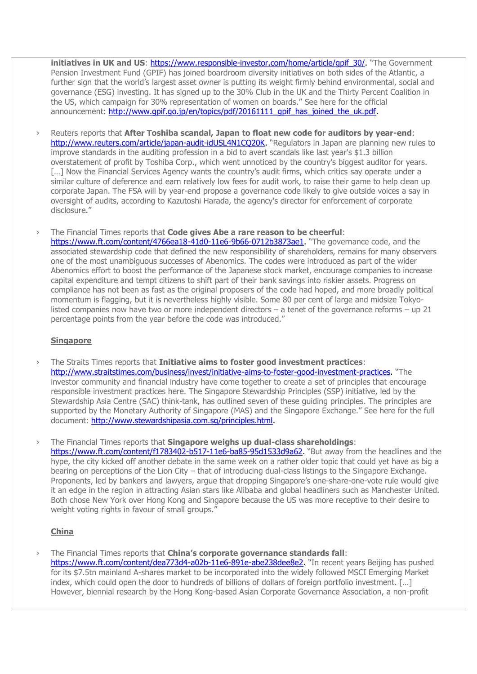**initiatives in UK and US**: https://www.responsible-investor.com/home/article/qpif 30/. "The Government Pension Investment Fund (GPIF) has joined boardroom diversity initiatives on both sides of the Atlantic, a further sign that the world's largest asset owner is putting its weight firmly behind environmental, social and governance (ESG) investing. It has signed up to the 30% Club in the UK and the Thirty Percent Coalition in the US, which campaign for 30% representation of women on boards." See here for the official announcement: [http://www.gpif.go.jp/en/topics/pdf/20161111\\_gpif\\_has\\_joined\\_the\\_uk.pdf.](http://www.gpif.go.jp/en/topics/pdf/20161111_gpif_has_joined_the_uk.pdf)

- › Reuters reports that **After Toshiba scandal, Japan to float new code for auditors by year-end**: [http://www.reuters.com/article/japan-audit-idUSL4N1CQ20K.](http://www.reuters.com/article/japan-audit-idUSL4N1CQ20K) "Regulators in Japan are planning new rules to improve standards in the auditing profession in a bid to avert scandals like last year's \$1.3 billion overstatement of profit by Toshiba Corp., which went unnoticed by the country's biggest auditor for years. [...] Now the Financial Services Agency wants the country's audit firms, which critics say operate under a similar culture of deference and earn relatively low fees for audit work, to raise their game to help clean up corporate Japan. The FSA will by year-end propose a governance code likely to give outside voices a say in oversight of audits, according to Kazutoshi Harada, the agency's director for enforcement of corporate disclosure."
- › The Financial Times reports that **Code gives Abe a rare reason to be cheerful**: [https://www.ft.com/content/4766ea18-41d0-11e6-9b66-0712b3873ae1.](https://www.ft.com/content/4766ea18-41d0-11e6-9b66-0712b3873ae1) "The governance code, and the associated stewardship code that defined the new responsibility of shareholders, remains for many observers one of the most unambiguous successes of Abenomics. The codes were introduced as part of the wider Abenomics effort to boost the performance of the Japanese stock market, encourage companies to increase capital expenditure and tempt citizens to shift part of their bank savings into riskier assets. Progress on compliance has not been as fast as the original proposers of the code had hoped, and more broadly political momentum is flagging, but it is nevertheless highly visible. Some 80 per cent of large and midsize Tokyolisted companies now have two or more independent directors – a tenet of the governance reforms – up 21 percentage points from the year before the code was introduced."

### **Singapore**

- › The Straits Times reports that **Initiative aims to foster good investment practices**: [http://www.straitstimes.com/business/invest/initiative-aims-to-foster-good-investment-practices.](http://www.straitstimes.com/business/invest/initiative-aims-to-foster-good-investment-practices) "The investor community and financial industry have come together to create a set of principles that encourage responsible investment practices here. The Singapore Stewardship Principles (SSP) initiative, led by the Stewardship Asia Centre (SAC) think-tank, has outlined seven of these guiding principles. The principles are supported by the Monetary Authority of Singapore (MAS) and the Singapore Exchange." See here for the full document: [http://www.stewardshipasia.com.sg/principles.html.](http://www.stewardshipasia.com.sg/principles.html)
- › The Financial Times reports that **Singapore weighs up dual-class shareholdings**: [https://www.ft.com/content/f1783402-b517-11e6-ba85-95d1533d9a62.](https://www.ft.com/content/f1783402-b517-11e6-ba85-95d1533d9a62) "But away from the headlines and the hype, the city kicked off another debate in the same week on a rather older topic that could yet have as big a bearing on perceptions of the Lion City – that of introducing dual-class listings to the Singapore Exchange. Proponents, led by bankers and lawyers, argue that dropping Singapore's one-share-one-vote rule would give it an edge in the region in attracting Asian stars like Alibaba and global headliners such as Manchester United. Both chose New York over Hong Kong and Singapore because the US was more receptive to their desire to weight voting rights in favour of small groups."

# **China**

› The Financial Times reports that **China's corporate governance standards fall**: [https://www.ft.com/content/dea773d4-a02b-11e6-891e-abe238dee8e2.](https://www.ft.com/content/dea773d4-a02b-11e6-891e-abe238dee8e2) "In recent years Beijing has pushed for its \$7.5tn mainland A-shares market to be incorporated into the widely followed MSCI Emerging Market index, which could open the door to hundreds of billions of dollars of foreign portfolio investment. […] However, biennial research by the Hong Kong-based Asian Corporate Governance Association, a non-profit